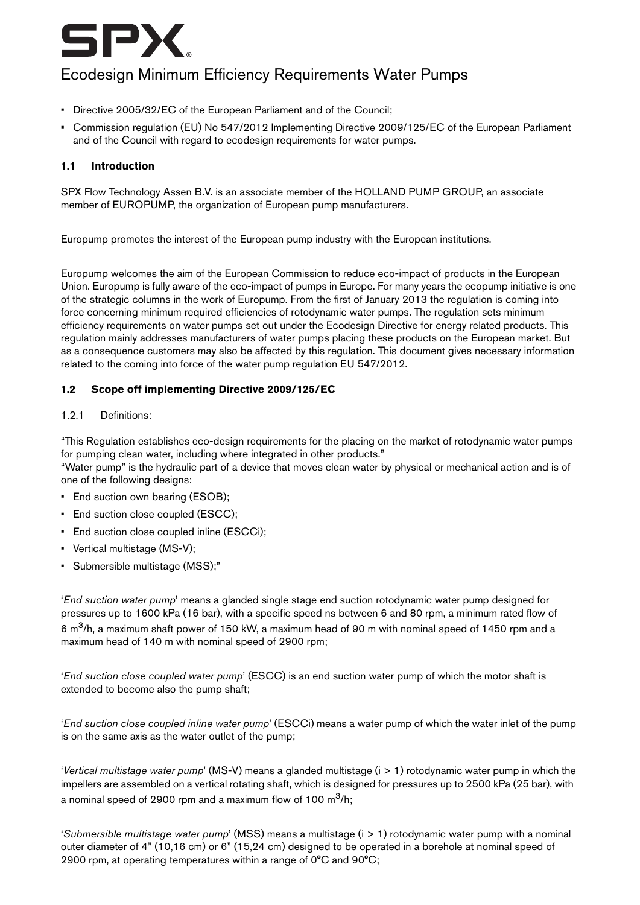

# Ecodesign Minimum Efficiency Requirements Water Pumps

- Directive 2005/32/EC of the European Parliament and of the Council;
- Commission regulation (EU) No 547/2012 Implementing Directive 2009/125/EC of the European Parliament and of the Council with regard to ecodesign requirements for water pumps.

## **1.1 Introduction**

SPX Flow Technology Assen B.V. is an associate member of the HOLLAND PUMP GROUP, an associate member of EUROPUMP, the organization of European pump manufacturers.

Europump promotes the interest of the European pump industry with the European institutions.

Europump welcomes the aim of the European Commission to reduce eco-impact of products in the European Union. Europump is fully aware of the eco-impact of pumps in Europe. For many years the ecopump initiative is one of the strategic columns in the work of Europump. From the first of January 2013 the regulation is coming into force concerning minimum required efficiencies of rotodynamic water pumps. The regulation sets minimum efficiency requirements on water pumps set out under the Ecodesign Directive for energy related products. This regulation mainly addresses manufacturers of water pumps placing these products on the European market. But as a consequence customers may also be affected by this regulation. This document gives necessary information related to the coming into force of the water pump regulation EU 547/2012.

## **1.2 Scope off implementing Directive 2009/125/EC**

#### 1.2.1 Definitions:

"This Regulation establishes eco-design requirements for the placing on the market of rotodynamic water pumps for pumping clean water, including where integrated in other products."

"Water pump" is the hydraulic part of a device that moves clean water by physical or mechanical action and is of one of the following designs:

- End suction own bearing (ESOB);
- End suction close coupled (ESCC);
- End suction close coupled inline (ESCCi);
- Vertical multistage (MS-V);
- Submersible multistage (MSS);"

'End suction water pump' means a glanded single stage end suction rotodynamic water pump designed for pressures up to 1600 kPa (16 bar), with a specific speed ns between 6 and 80 rpm, a minimum rated flow of 6 m<sup>3</sup>/h, a maximum shaft power of 150 kW, a maximum head of 90 m with nominal speed of 1450 rpm and a maximum head of 140 m with nominal speed of 2900 rpm;

'End suction close coupled water pump' (ESCC) is an end suction water pump of which the motor shaft is extended to become also the pump shaft;

'End suction close coupled inline water pump' (ESCCi) means a water pump of which the water inlet of the pump is on the same axis as the water outlet of the pump;

'Vertical multistage water pump' (MS-V) means a glanded multistage  $(i > 1)$  rotodynamic water pump in which the impellers are assembled on a vertical rotating shaft, which is designed for pressures up to 2500 kPa (25 bar), with a nominal speed of 2900 rpm and a maximum flow of 100  $m^3/h$ ;

'Submersible multistage water pump' (MSS) means a multistage  $(i > 1)$  rotodynamic water pump with a nominal outer diameter of 4" (10,16 cm) or 6" (15,24 cm) designed to be operated in a borehole at nominal speed of 2900 rpm, at operating temperatures within a range of 0°C and 90°C;